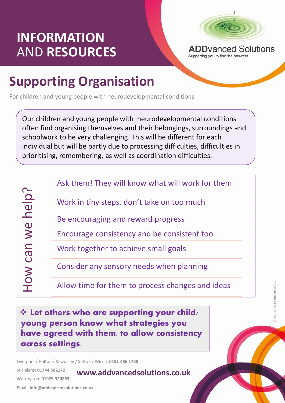## **INFORMATION** AND **RESOURCES**



Supporting you to find the answers

## **Supporting Organisation**

For children and young people with neurodevelopmental conditions

Our children and young people with neurodevelopmental conditions often find organising themselves and their belongings, surroundings and schoolwork to be very challenging. This will be different for each individual but will be partly due to processing difficulties, difficulties in prioritising, remembering, as well as coordination difficulties.

How can we help? How can we help? Ask them! They will know what will work for them

Work in tiny steps, don't take on too much

Be encouraging and reward progress

Encourage consistency and be consistent too

Work together to achieve small goals

Consider any sensory needs when planning

**www.addvancedsolutions.co.uk**

Allow time for them to process changes and ideas

pporting y<br>at strategie  $\Leftrightarrow$  Let others who are supporting your child/ young person know what strategies you have agreed with them, to allow consistency across settings.

Liverpool / Halton / Knowsley / Sefton / Wirral: **0151 486 1788**

St Helens: **01744 582172** 

Warrington: **01925 320863**

Email: **info@addvancedsolutions.co.uk**